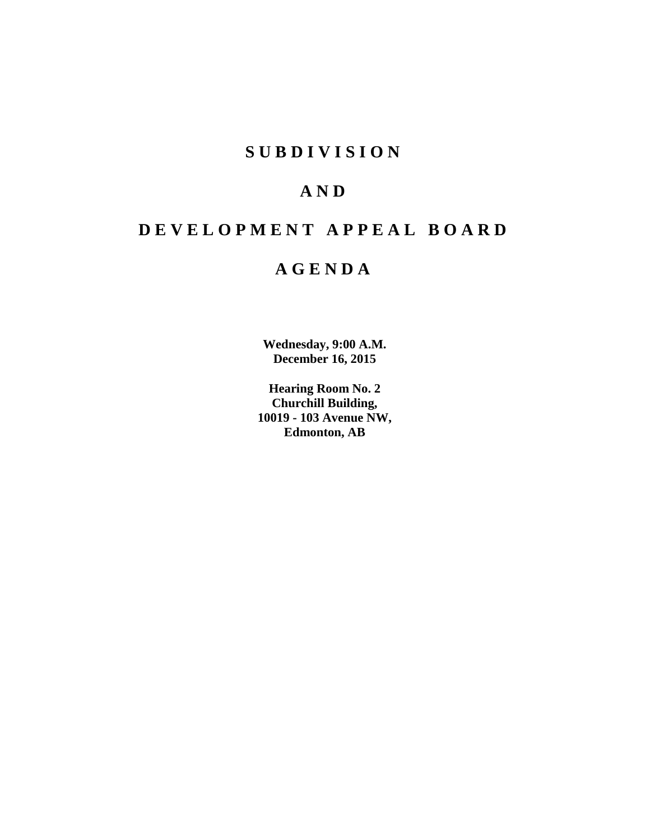## **S U B D I V I S I O N**

# **A N D**

# **D E V E L O P M E N T A P P E A L B O A R D**

## **A G E N D A**

**Wednesday, 9:00 A.M. December 16, 2015**

**Hearing Room No. 2 Churchill Building, 10019 - 103 Avenue NW, Edmonton, AB**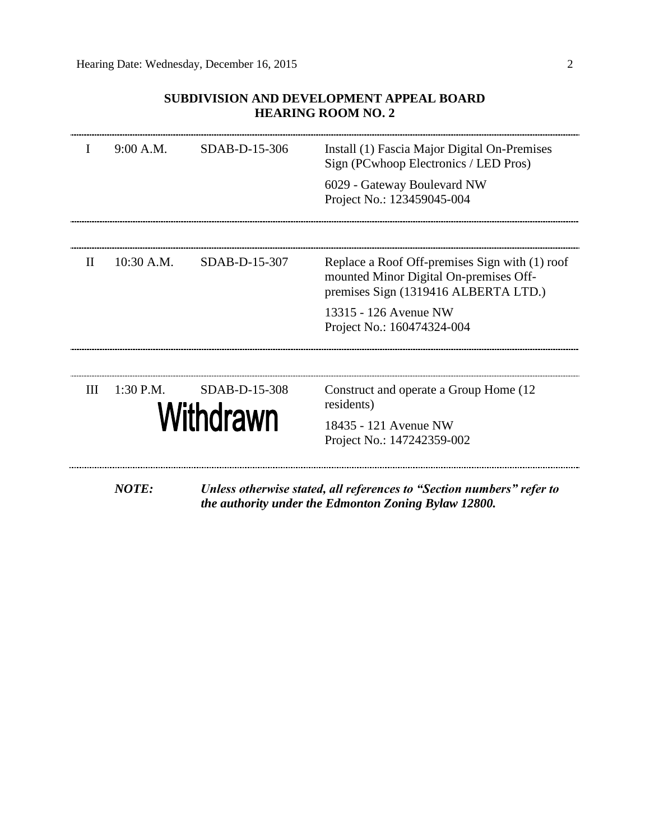## **SUBDIVISION AND DEVELOPMENT APPEAL BOARD HEARING ROOM NO. 2**

| I            | 9:00 A.M.    | SDAB-D-15-306              | Install (1) Fascia Major Digital On-Premises<br>Sign (PCwhoop Electronics / LED Pros)<br>6029 - Gateway Boulevard NW<br>Project No.: 123459045-004                                      |
|--------------|--------------|----------------------------|-----------------------------------------------------------------------------------------------------------------------------------------------------------------------------------------|
| $\mathbf{H}$ | 10:30 A.M.   | SDAB-D-15-307              | Replace a Roof Off-premises Sign with (1) roof<br>mounted Minor Digital On-premises Off-<br>premises Sign (1319416 ALBERTA LTD.)<br>13315 - 126 Avenue NW<br>Project No.: 160474324-004 |
| Ш            | $1:30$ P.M.  | SDAB-D-15-308<br>Withdrawn | Construct and operate a Group Home (12)<br>residents)<br>18435 - 121 Avenue NW<br>Project No.: 147242359-002                                                                            |
|              | <b>NOTE:</b> |                            | Unless otherwise stated, all references to "Section numbers" refer to                                                                                                                   |

*the authority under the Edmonton Zoning Bylaw 12800.*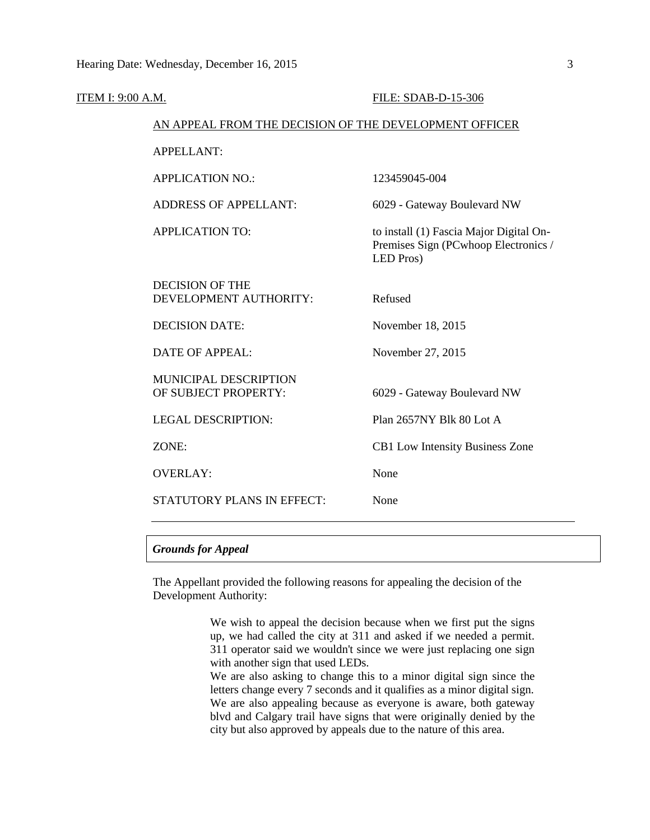| ITEM I: 9:00 A.M. |                                                        | FILE: SDAB-D-15-306                                                                          |
|-------------------|--------------------------------------------------------|----------------------------------------------------------------------------------------------|
|                   | AN APPEAL FROM THE DECISION OF THE DEVELOPMENT OFFICER |                                                                                              |
|                   | <b>APPELLANT:</b>                                      |                                                                                              |
|                   | <b>APPLICATION NO.:</b>                                | 123459045-004                                                                                |
|                   | <b>ADDRESS OF APPELLANT:</b>                           | 6029 - Gateway Boulevard NW                                                                  |
|                   | <b>APPLICATION TO:</b>                                 | to install (1) Fascia Major Digital On-<br>Premises Sign (PCwhoop Electronics /<br>LED Pros) |
|                   | <b>DECISION OF THE</b><br>DEVELOPMENT AUTHORITY:       | Refused                                                                                      |
|                   | <b>DECISION DATE:</b>                                  | November 18, 2015                                                                            |
|                   | <b>DATE OF APPEAL:</b>                                 | November 27, 2015                                                                            |
|                   | MUNICIPAL DESCRIPTION<br>OF SUBJECT PROPERTY:          | 6029 - Gateway Boulevard NW                                                                  |
|                   | <b>LEGAL DESCRIPTION:</b>                              | Plan 2657NY Blk 80 Lot A                                                                     |
|                   | ZONE:                                                  | CB1 Low Intensity Business Zone                                                              |
|                   | <b>OVERLAY:</b>                                        | None                                                                                         |
|                   | STATUTORY PLANS IN EFFECT:                             | None                                                                                         |
|                   |                                                        |                                                                                              |

## *Grounds for Appeal*

The Appellant provided the following reasons for appealing the decision of the Development Authority:

> We wish to appeal the decision because when we first put the signs up, we had called the city at 311 and asked if we needed a permit. 311 operator said we wouldn't since we were just replacing one sign with another sign that used LEDs. We are also asking to change this to a minor digital sign since the letters change every 7 seconds and it qualifies as a minor digital sign.

> We are also appealing because as everyone is aware, both gateway blvd and Calgary trail have signs that were originally denied by the city but also approved by appeals due to the nature of this area.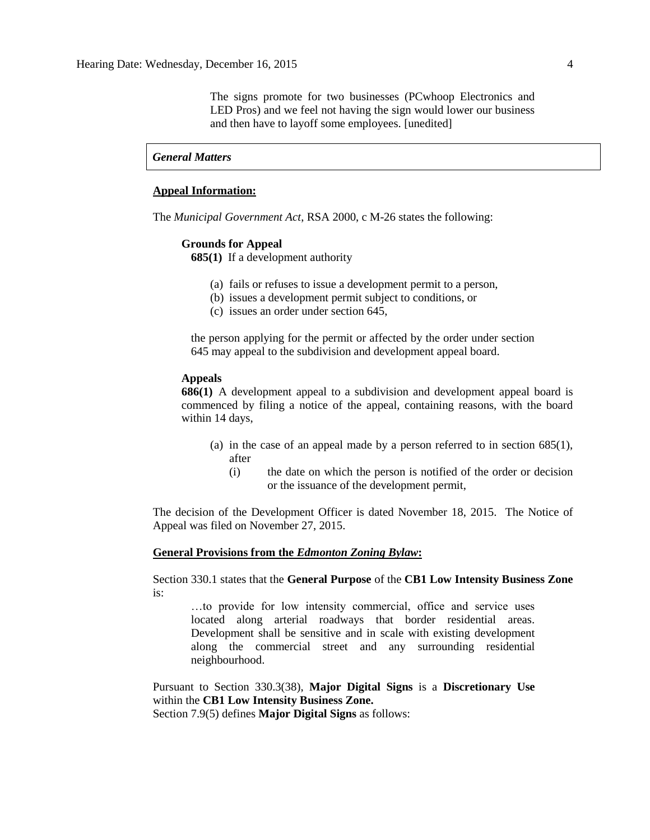The signs promote for two businesses (PCwhoop Electronics and LED Pros) and we feel not having the sign would lower our business and then have to layoff some employees. [unedited]

## *General Matters*

#### **Appeal Information:**

The *Municipal Government Act*, RSA 2000, c M-26 states the following:

#### **Grounds for Appeal**

**685(1)** If a development authority

- (a) fails or refuses to issue a development permit to a person,
- (b) issues a development permit subject to conditions, or
- (c) issues an order under section 645,

the person applying for the permit or affected by the order under section 645 may appeal to the subdivision and development appeal board.

### **Appeals**

**686(1)** A development appeal to a subdivision and development appeal board is commenced by filing a notice of the appeal, containing reasons, with the board within 14 days,

- (a) in the case of an appeal made by a person referred to in section 685(1), after
	- (i) the date on which the person is notified of the order or decision or the issuance of the development permit,

The decision of the Development Officer is dated November 18, 2015. The Notice of Appeal was filed on November 27, 2015.

#### **General Provisions from the** *Edmonton Zoning Bylaw***:**

Section 330.1 states that the **General Purpose** of the **CB1 Low Intensity Business Zone**  is:

…to provide for low intensity commercial, office and service uses located along arterial roadways that border residential areas. Development shall be sensitive and in scale with existing development along the commercial street and any surrounding residential neighbourhood.

Pursuant to Section 330.3(38), **Major Digital Signs** is a **Discretionary Use**  within the **CB1 Low Intensity Business Zone.**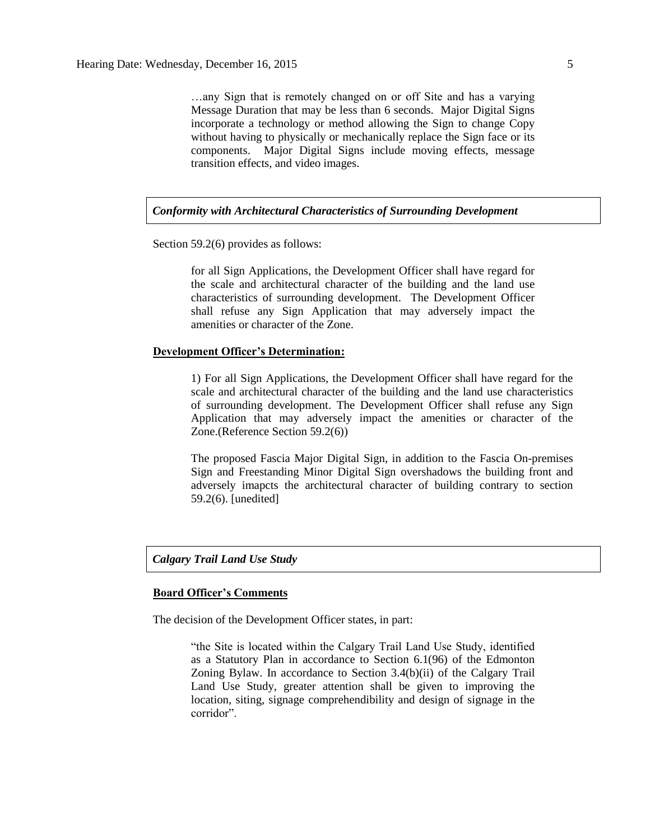…any Sign that is remotely changed on or off Site and has a varying Message Duration that may be less than 6 seconds. Major Digital Signs incorporate a technology or method allowing the Sign to change Copy without having to physically or mechanically replace the Sign face or its components. Major Digital Signs include moving effects, message transition effects, and video images.

*Conformity with Architectural Characteristics of Surrounding Development* 

Section 59.2(6) provides as follows:

for all Sign Applications, the Development Officer shall have regard for the scale and architectural character of the building and the land use characteristics of surrounding development. The Development Officer shall refuse any Sign Application that may adversely impact the amenities or character of the Zone.

## **Development Officer's Determination:**

1) For all Sign Applications, the Development Officer shall have regard for the scale and architectural character of the building and the land use characteristics of surrounding development. The Development Officer shall refuse any Sign Application that may adversely impact the amenities or character of the Zone.(Reference Section 59.2(6))

The proposed Fascia Major Digital Sign, in addition to the Fascia On-premises Sign and Freestanding Minor Digital Sign overshadows the building front and adversely imapcts the architectural character of building contrary to section 59.2(6). [unedited]

#### *Calgary Trail Land Use Study*

#### **Board Officer's Comments**

The decision of the Development Officer states, in part:

"the Site is located within the Calgary Trail Land Use Study, identified as a Statutory Plan in accordance to Section 6.1(96) of the Edmonton Zoning Bylaw. In accordance to Section 3.4(b)(ii) of the Calgary Trail Land Use Study, greater attention shall be given to improving the location, siting, signage comprehendibility and design of signage in the corridor".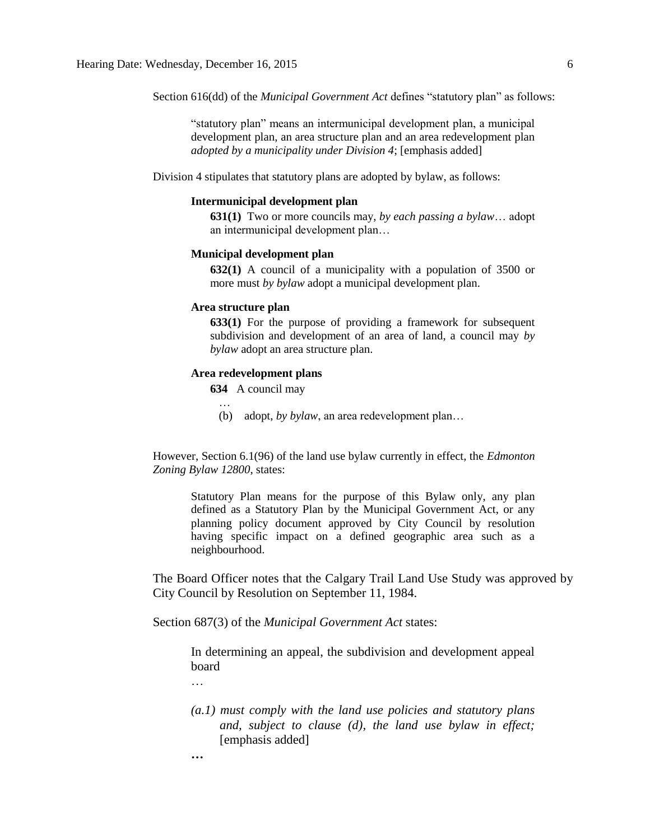Section 616(dd) of the *Municipal Government Act* defines "statutory plan" as follows:

"statutory plan" means an intermunicipal development plan, a municipal development plan, an area structure plan and an area redevelopment plan *adopted by a municipality under Division 4*; [emphasis added]

Division 4 stipulates that statutory plans are adopted by bylaw, as follows:

#### **Intermunicipal development plan**

**631(1)** Two or more councils may, *by each passing a bylaw*… adopt an intermunicipal development plan…

#### **Municipal development plan**

**632(1)** A council of a municipality with a population of 3500 or more must *by bylaw* adopt a municipal development plan.

#### **Area structure plan**

**633(1)** For the purpose of providing a framework for subsequent subdivision and development of an area of land, a council may *by bylaw* adopt an area structure plan.

### **Area redevelopment plans**

**634** A council may

(b) adopt, *by bylaw*, an area redevelopment plan…

However, Section 6.1(96) of the land use bylaw currently in effect, the *Edmonton Zoning Bylaw 12800*, states:

Statutory Plan means for the purpose of this Bylaw only, any plan defined as a Statutory Plan by the Municipal Government Act, or any planning policy document approved by City Council by resolution having specific impact on a defined geographic area such as a neighbourhood.

The Board Officer notes that the Calgary Trail Land Use Study was approved by City Council by Resolution on September 11, 1984.

Section 687(3) of the *Municipal Government Act* states:

In determining an appeal, the subdivision and development appeal board

…

- *(a.1) must comply with the land use policies and statutory plans and, subject to clause (d), the land use bylaw in effect;* [emphasis added]
- **…**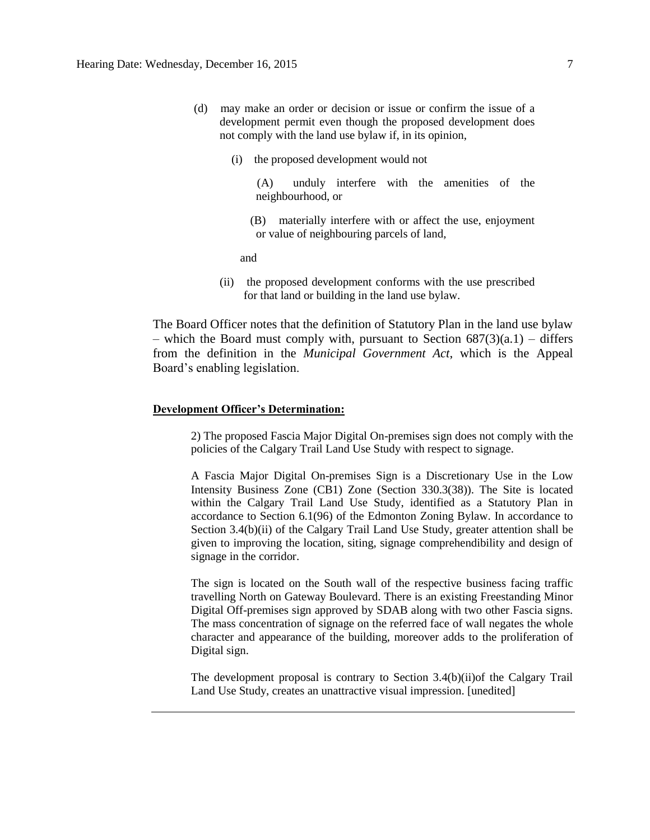- (d) may make an order or decision or issue or confirm the issue of a development permit even though the proposed development does not comply with the land use bylaw if, in its opinion,
	- (i) the proposed development would not

 (A) unduly interfere with the amenities of the neighbourhood, or

 (B) materially interfere with or affect the use, enjoyment or value of neighbouring parcels of land,

**and and** 

(ii) the proposed development conforms with the use prescribed for that land or building in the land use bylaw.

The Board Officer notes that the definition of Statutory Plan in the land use bylaw – which the Board must comply with, pursuant to Section  $687(3)(a.1)$  – differs from the definition in the *Municipal Government Act*, which is the Appeal Board's enabling legislation.

#### **Development Officer's Determination:**

2) The proposed Fascia Major Digital On-premises sign does not comply with the policies of the Calgary Trail Land Use Study with respect to signage.

A Fascia Major Digital On-premises Sign is a Discretionary Use in the Low Intensity Business Zone (CB1) Zone (Section 330.3(38)). The Site is located within the Calgary Trail Land Use Study, identified as a Statutory Plan in accordance to Section 6.1(96) of the Edmonton Zoning Bylaw. In accordance to Section 3.4(b)(ii) of the Calgary Trail Land Use Study, greater attention shall be given to improving the location, siting, signage comprehendibility and design of signage in the corridor.

The sign is located on the South wall of the respective business facing traffic travelling North on Gateway Boulevard. There is an existing Freestanding Minor Digital Off-premises sign approved by SDAB along with two other Fascia signs. The mass concentration of signage on the referred face of wall negates the whole character and appearance of the building, moreover adds to the proliferation of Digital sign.

The development proposal is contrary to Section 3.4(b)(ii)of the Calgary Trail Land Use Study, creates an unattractive visual impression. [unedited]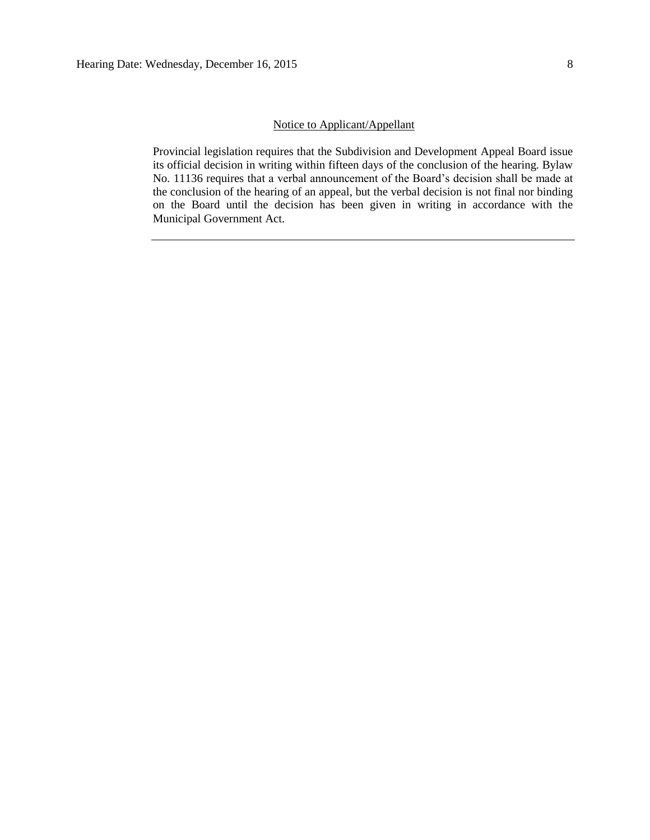Provincial legislation requires that the Subdivision and Development Appeal Board issue its official decision in writing within fifteen days of the conclusion of the hearing. Bylaw No. 11136 requires that a verbal announcement of the Board's decision shall be made at the conclusion of the hearing of an appeal, but the verbal decision is not final nor binding on the Board until the decision has been given in writing in accordance with the Municipal Government Act.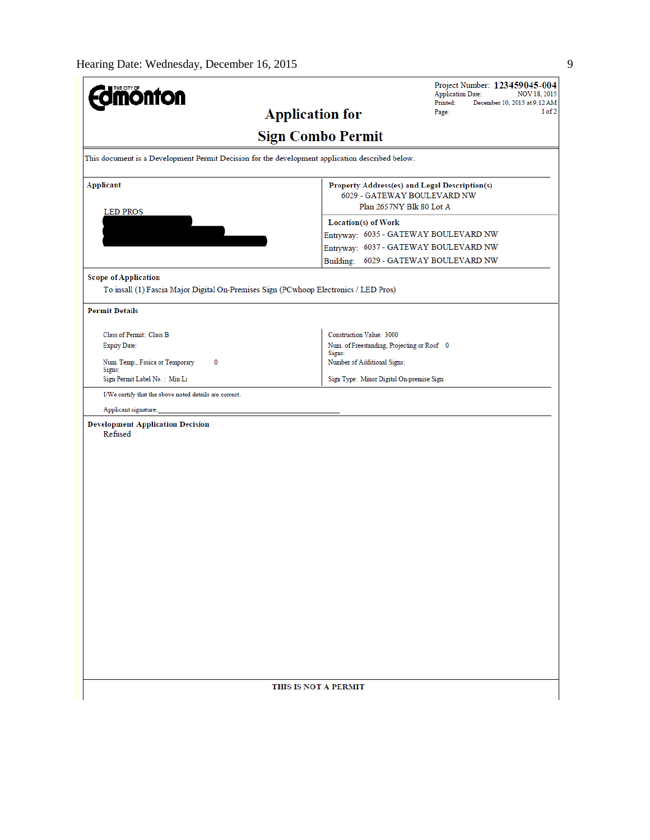| <b>Jmönton</b>                                                                                                      |                                                                                                                                                                                                                                                            | Project Number: 123459045-004<br><b>Application Date:</b><br>NOV 18, 2015<br>Printed:<br>December 10, 2015 at 9:12 AM |  |  |
|---------------------------------------------------------------------------------------------------------------------|------------------------------------------------------------------------------------------------------------------------------------------------------------------------------------------------------------------------------------------------------------|-----------------------------------------------------------------------------------------------------------------------|--|--|
| <b>Application for</b>                                                                                              |                                                                                                                                                                                                                                                            | 1 of 2<br>Page:                                                                                                       |  |  |
|                                                                                                                     | <b>Sign Combo Permit</b>                                                                                                                                                                                                                                   |                                                                                                                       |  |  |
| This document is a Development Permit Decision for the development application described below.                     |                                                                                                                                                                                                                                                            |                                                                                                                       |  |  |
| <b>Applicant</b><br><b>LED PROS</b>                                                                                 | Property Address(es) and Legal Description(s)<br>6029 - GATEWAY BOULEVARD NW<br>Plan 2657NY Blk 80 Lot A<br>Location(s) of Work<br>Entryway: 6035 - GATEWAY BOULEVARD NW<br>Entryway: 6037 - GATEWAY BOULEVARD NW<br>Building: 6029 - GATEWAY BOULEVARD NW |                                                                                                                       |  |  |
|                                                                                                                     |                                                                                                                                                                                                                                                            |                                                                                                                       |  |  |
| <b>Scope of Application</b><br>To insall (1) Fascia Major Digital On-Premises Sign (PCwhoop Electronics / LED Pros) |                                                                                                                                                                                                                                                            |                                                                                                                       |  |  |
| <b>Permit Details</b>                                                                                               |                                                                                                                                                                                                                                                            |                                                                                                                       |  |  |
| Class of Permit: Class B<br><b>Expiry Date:</b>                                                                     | Construction Value: 3000<br>Num. of Freestanding, Projecting or Roof 0                                                                                                                                                                                     |                                                                                                                       |  |  |
| Num. Temp., Fasica or Temporary<br>0<br>Signs:                                                                      | Signs:<br>Number of Additional Signs:                                                                                                                                                                                                                      |                                                                                                                       |  |  |
| Sign Permit Label No.: Min Li                                                                                       | Sign Type: Minor Digital On-premise Sign                                                                                                                                                                                                                   |                                                                                                                       |  |  |
| I/We certify that the above noted details are correct.<br>Applicant signature:                                      |                                                                                                                                                                                                                                                            |                                                                                                                       |  |  |
| <b>Development Application Decision</b><br>Refused                                                                  |                                                                                                                                                                                                                                                            |                                                                                                                       |  |  |
| THIS IS NOT A PERMIT                                                                                                |                                                                                                                                                                                                                                                            |                                                                                                                       |  |  |
|                                                                                                                     |                                                                                                                                                                                                                                                            |                                                                                                                       |  |  |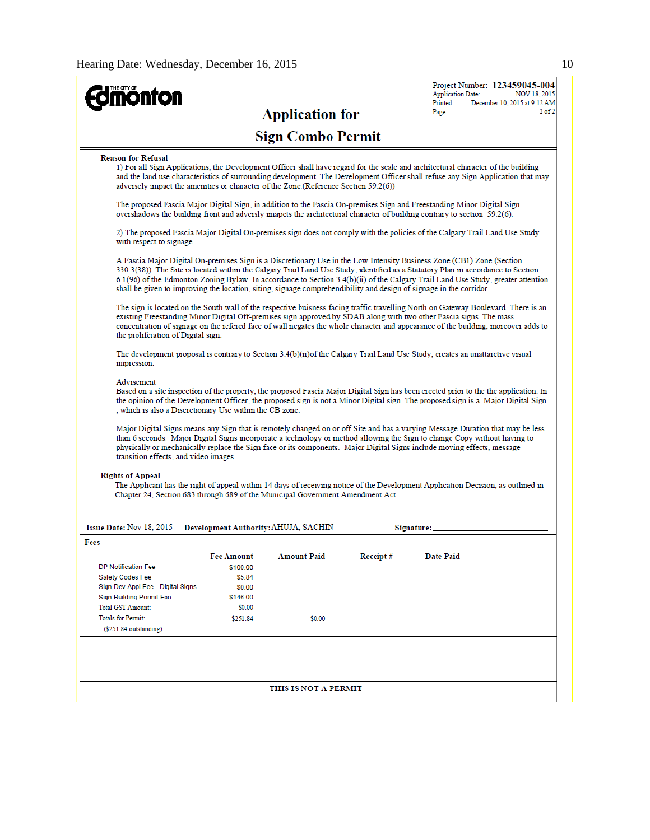| <b>ionfon</b>                                                                                                                                                                                                                                                                                                                                                                                                                                                                                                       |                                                                                                                                  |                                      |          | <b>Application Date:</b> | Project Number: 123459045-004<br><b>NOV 18, 2015</b> |
|---------------------------------------------------------------------------------------------------------------------------------------------------------------------------------------------------------------------------------------------------------------------------------------------------------------------------------------------------------------------------------------------------------------------------------------------------------------------------------------------------------------------|----------------------------------------------------------------------------------------------------------------------------------|--------------------------------------|----------|--------------------------|------------------------------------------------------|
|                                                                                                                                                                                                                                                                                                                                                                                                                                                                                                                     |                                                                                                                                  | <b>Application for</b>               |          | Printed:<br>Page:        | December 10, 2015 at 9:12 AM<br>$2$ of $2$           |
|                                                                                                                                                                                                                                                                                                                                                                                                                                                                                                                     |                                                                                                                                  | <b>Sign Combo Permit</b>             |          |                          |                                                      |
| <b>Reason for Refusal</b><br>1) For all Sign Applications, the Development Officer shall have regard for the scale and architectural character of the building<br>and the land use characteristics of surrounding development. The Development Officer shall refuse any Sign Application that may<br>adversely impact the amenities or character of the Zone. (Reference Section 59.2(6))                                                                                                                           |                                                                                                                                  |                                      |          |                          |                                                      |
| The proposed Fascia Major Digital Sign, in addition to the Fascia On-premises Sign and Freestanding Minor Digital Sign<br>overshadows the building front and adversly imapcts the architectural character of building contrary to section 59.2(6).                                                                                                                                                                                                                                                                  |                                                                                                                                  |                                      |          |                          |                                                      |
| 2) The proposed Fascia Major Digital On-premises sign does not comply with the policies of the Calgary Trail Land Use Study<br>with respect to signage.                                                                                                                                                                                                                                                                                                                                                             |                                                                                                                                  |                                      |          |                          |                                                      |
| A Fascia Major Digital On-premises Sign is a Discretionary Use in the Low Intensity Business Zone (CB1) Zone (Section<br>330.3(38)). The Site is located within the Calgary Trail Land Use Study, identified as a Statutory Plan in accordance to Section<br>6.1(96) of the Edmonton Zoning Bylaw. In accordance to Section 3.4(b)(ii) of the Calgary Trail Land Use Study, greater attention<br>shall be given to improving the location, siting, signage comprehendibility and design of signage in the corridor. |                                                                                                                                  |                                      |          |                          |                                                      |
| The sign is located on the South wall of the respective buisness facing traffic travelling North on Gateway Boulevard. There is an<br>existing Freestanding Minor Digital Off-premises sign approved by SDAB along with two other Fascia signs. The mass<br>concentration of signage on the refered face of wall negates the whole character and appearance of the building, moreover adds to<br>the proliferation of Digital sign.                                                                                 |                                                                                                                                  |                                      |          |                          |                                                      |
| impression.                                                                                                                                                                                                                                                                                                                                                                                                                                                                                                         | The development proposal is contrary to Section $3.4(b)(ii)$ of the Calgary Trail Land Use Study, creates an unattarctive visual |                                      |          |                          |                                                      |
| Advisement<br>Based on a site inspection of the property, the proposed Fascia Major Digital Sign has been erected prior to the the application. In<br>the opinion of the Development Officer, the proposed sign is not a Minor Digital sign. The proposed sign is a Major Digital Sign<br>, which is also a Discretionary Use within the CB zone.                                                                                                                                                                   |                                                                                                                                  |                                      |          |                          |                                                      |
| Major Digital Signs means any Sign that is remotely changed on or off Site and has a varying Message Duration that may be less<br>than 6 seconds. Major Digital Signs incorporate a technology or method allowing the Sign to change Copy without having to<br>physically or mechanically replace the Sign face or its components. Major Digital Signs include moving effects, message<br>transition effects, and video images.                                                                                     |                                                                                                                                  |                                      |          |                          |                                                      |
| <b>Rights of Appeal</b><br>The Applicant has the right of appeal within 14 days of receiving notice of the Development Application Decision, as outlined in<br>Chapter 24, Section 683 through 689 of the Municipal Government Amendment Act.                                                                                                                                                                                                                                                                       |                                                                                                                                  |                                      |          |                          |                                                      |
| Issue Date: Nov 18, 2015                                                                                                                                                                                                                                                                                                                                                                                                                                                                                            |                                                                                                                                  | Development Authority: AHUJA, SACHIN |          | Signature:               |                                                      |
| Fees                                                                                                                                                                                                                                                                                                                                                                                                                                                                                                                | <b>Fee Amount</b>                                                                                                                | Amount Paid                          | Receipt# | Date Paid                |                                                      |
| <b>DP Notification Fee</b>                                                                                                                                                                                                                                                                                                                                                                                                                                                                                          | \$100.00                                                                                                                         |                                      |          |                          |                                                      |
| Safety Codes Fee                                                                                                                                                                                                                                                                                                                                                                                                                                                                                                    | \$5.84                                                                                                                           |                                      |          |                          |                                                      |
| Sign Dev Appl Fee - Digital Signs                                                                                                                                                                                                                                                                                                                                                                                                                                                                                   | \$0.00                                                                                                                           |                                      |          |                          |                                                      |
| <b>Sign Building Permit Fee</b>                                                                                                                                                                                                                                                                                                                                                                                                                                                                                     | \$146.00                                                                                                                         |                                      |          |                          |                                                      |
| <b>Total GST Amount:</b><br><b>Totals for Permit:</b>                                                                                                                                                                                                                                                                                                                                                                                                                                                               | \$0.00                                                                                                                           |                                      |          |                          |                                                      |
| $($251.84$ outstanding)                                                                                                                                                                                                                                                                                                                                                                                                                                                                                             | \$251.84                                                                                                                         | \$0.00                               |          |                          |                                                      |
|                                                                                                                                                                                                                                                                                                                                                                                                                                                                                                                     |                                                                                                                                  |                                      |          |                          |                                                      |
|                                                                                                                                                                                                                                                                                                                                                                                                                                                                                                                     |                                                                                                                                  | THIS IS NOT A PERMIT                 |          |                          |                                                      |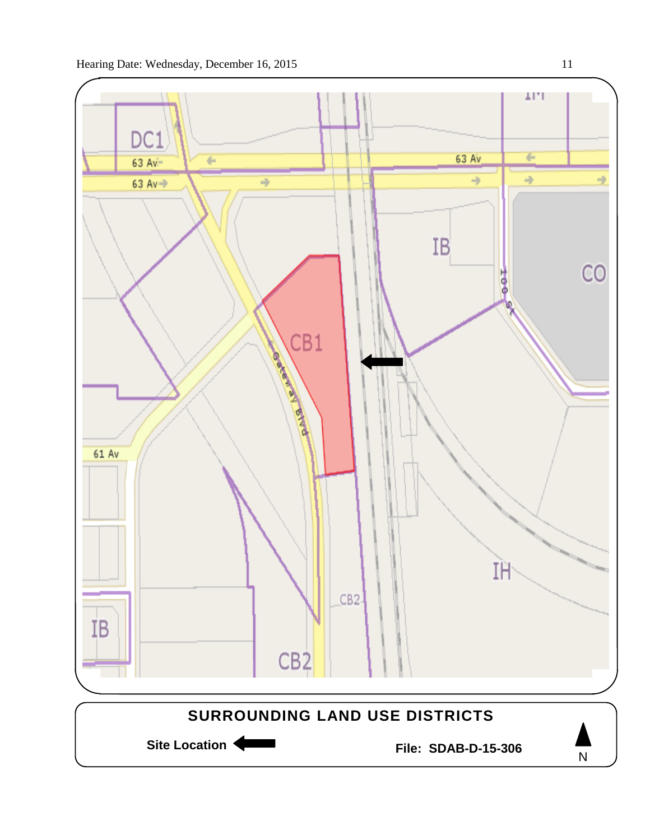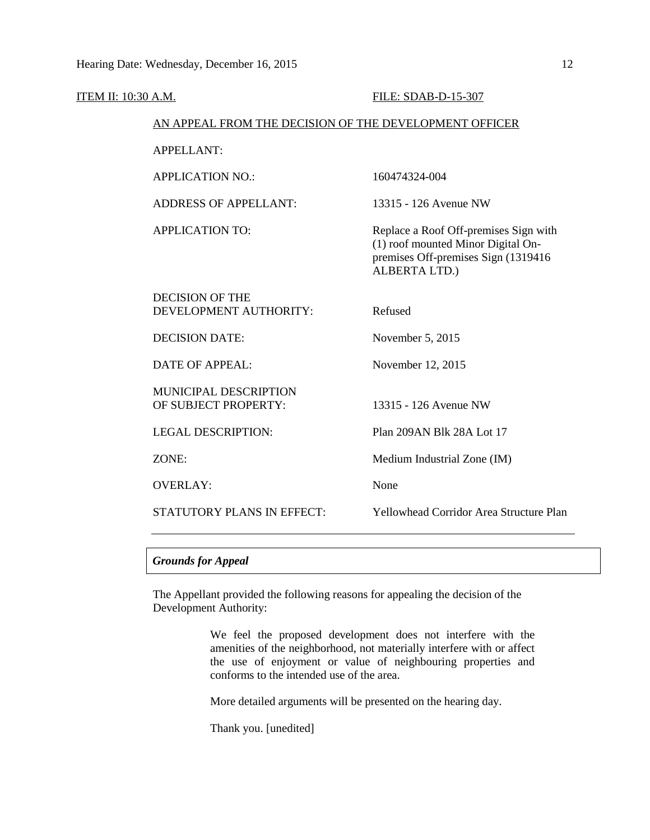| ITEM II: 10:30 A.M.                                    | FILE: SDAB-D-15-307                                                                                                                 |
|--------------------------------------------------------|-------------------------------------------------------------------------------------------------------------------------------------|
| AN APPEAL FROM THE DECISION OF THE DEVELOPMENT OFFICER |                                                                                                                                     |
| <b>APPELLANT:</b>                                      |                                                                                                                                     |
| <b>APPLICATION NO.:</b>                                | 160474324-004                                                                                                                       |
| <b>ADDRESS OF APPELLANT:</b>                           | 13315 - 126 Avenue NW                                                                                                               |
| <b>APPLICATION TO:</b>                                 | Replace a Roof Off-premises Sign with<br>(1) roof mounted Minor Digital On-<br>premises Off-premises Sign (1319416<br>ALBERTA LTD.) |
| <b>DECISION OF THE</b><br>DEVELOPMENT AUTHORITY:       | Refused                                                                                                                             |
| <b>DECISION DATE:</b>                                  | November 5, 2015                                                                                                                    |
| <b>DATE OF APPEAL:</b>                                 | November 12, 2015                                                                                                                   |
| <b>MUNICIPAL DESCRIPTION</b><br>OF SUBJECT PROPERTY:   | 13315 - 126 Avenue NW                                                                                                               |
| <b>LEGAL DESCRIPTION:</b>                              | Plan 209AN Blk 28A Lot 17                                                                                                           |
| ZONE:                                                  | Medium Industrial Zone (IM)                                                                                                         |
| <b>OVERLAY:</b>                                        | None                                                                                                                                |
| <b>STATUTORY PLANS IN EFFECT:</b>                      | <b>Yellowhead Corridor Area Structure Plan</b>                                                                                      |

## *Grounds for Appeal*

The Appellant provided the following reasons for appealing the decision of the Development Authority:

> We feel the proposed development does not interfere with the amenities of the neighborhood, not materially interfere with or affect the use of enjoyment or value of neighbouring properties and conforms to the intended use of the area.

More detailed arguments will be presented on the hearing day.

Thank you. [unedited]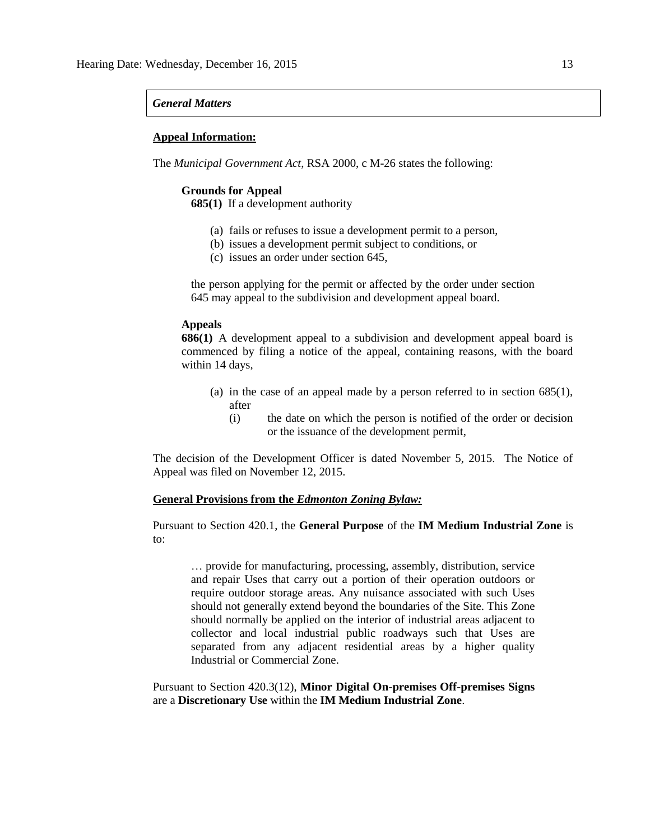#### *General Matters*

#### **Appeal Information:**

The *Municipal Government Act*, RSA 2000, c M-26 states the following:

#### **Grounds for Appeal**

**685(1)** If a development authority

- (a) fails or refuses to issue a development permit to a person,
- (b) issues a development permit subject to conditions, or
- (c) issues an order under section 645,

the person applying for the permit or affected by the order under section 645 may appeal to the subdivision and development appeal board.

### **Appeals**

**686(1)** A development appeal to a subdivision and development appeal board is commenced by filing a notice of the appeal, containing reasons, with the board within 14 days,

- (a) in the case of an appeal made by a person referred to in section 685(1), after
	- (i) the date on which the person is notified of the order or decision or the issuance of the development permit,

The decision of the Development Officer is dated November 5, 2015. The Notice of Appeal was filed on November 12, 2015.

#### **General Provisions from the** *Edmonton Zoning Bylaw:*

Pursuant to Section 420.1, the **General Purpose** of the **IM Medium Industrial Zone** is to:

… provide for manufacturing, processing, assembly, distribution, service and repair Uses that carry out a portion of their operation outdoors or require outdoor storage areas. Any nuisance associated with such Uses should not generally extend beyond the boundaries of the Site. This Zone should normally be applied on the interior of industrial areas adjacent to collector and local industrial public roadways such that Uses are separated from any adjacent residential areas by a higher quality Industrial or Commercial Zone.

Pursuant to Section 420.3(12), **Minor Digital On-premises Off-premises Signs**  are a **Discretionary Use** within the **IM Medium Industrial Zone**.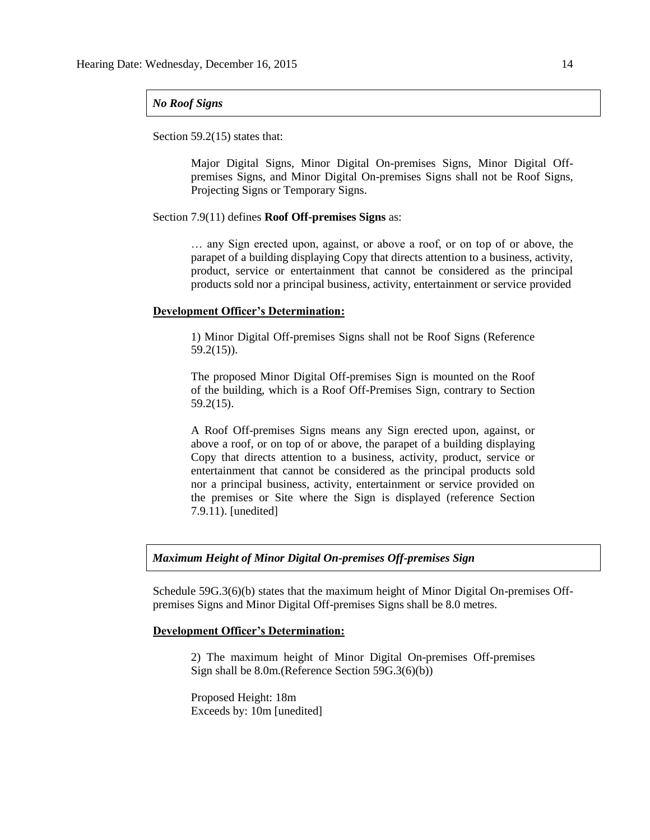### *No Roof Signs*

Section 59.2(15) states that:

Major Digital Signs, Minor Digital On-premises Signs, Minor Digital Offpremises Signs, and Minor Digital On-premises Signs shall not be Roof Signs, Projecting Signs or Temporary Signs.

#### Section 7.9(11) defines **Roof Off-premises Signs** as:

… any Sign erected upon, against, or above a roof, or on top of or above, the parapet of a building displaying Copy that directs attention to a business, activity, product, service or entertainment that cannot be considered as the principal products sold nor a principal business, activity, entertainment or service provided

#### **Development Officer's Determination:**

1) Minor Digital Off-premises Signs shall not be Roof Signs (Reference 59.2(15)).

The proposed Minor Digital Off-premises Sign is mounted on the Roof of the building, which is a Roof Off-Premises Sign, contrary to Section 59.2(15).

A Roof Off-premises Signs means any Sign erected upon, against, or above a roof, or on top of or above, the parapet of a building displaying Copy that directs attention to a business, activity, product, service or entertainment that cannot be considered as the principal products sold nor a principal business, activity, entertainment or service provided on the premises or Site where the Sign is displayed (reference Section 7.9.11). [unedited]

### *Maximum Height of Minor Digital On-premises Off-premises Sign*

Schedule 59G.3(6)(b) states that the maximum height of Minor Digital On-premises Offpremises Signs and Minor Digital Off-premises Signs shall be 8.0 metres.

## **Development Officer's Determination:**

2) The maximum height of Minor Digital On-premises Off-premises Sign shall be 8.0m.(Reference Section 59G.3(6)(b))

Proposed Height: 18m Exceeds by: 10m [unedited]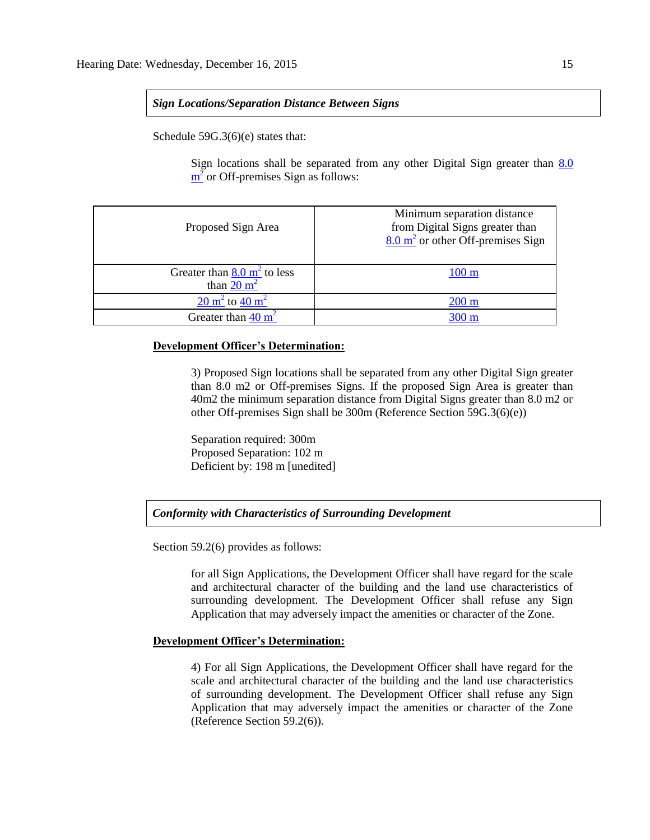### *Sign Locations/Separation Distance Between Signs*

Schedule 59G.3(6)(e) states that:

Sign locations shall be separated from any other Digital Sign greater than [8.0](javascript:void(0);)   $\frac{m^2}{2}$  $\frac{m^2}{2}$  $\frac{m^2}{2}$  or Off-premises Sign as follows:

| Proposed Sign Area                                              | Minimum separation distance<br>from Digital Signs greater than<br>$8.0 \text{ m}^2$ or other Off-premises Sign |
|-----------------------------------------------------------------|----------------------------------------------------------------------------------------------------------------|
| Greater than $8.0 \text{ m}^2$ to less<br>than $20 \text{ m}^2$ | $100 \text{ m}$                                                                                                |
| $20 \text{ m}^2$ to $40 \text{ m}^2$                            | $200 \text{ m}$                                                                                                |
| Greater than $40 \text{ m}^2$                                   | $300 \text{ m}$                                                                                                |

### **Development Officer's Determination:**

3) Proposed Sign locations shall be separated from any other Digital Sign greater than 8.0 m2 or Off-premises Signs. If the proposed Sign Area is greater than 40m2 the minimum separation distance from Digital Signs greater than 8.0 m2 or other Off-premises Sign shall be 300m (Reference Section 59G.3(6)(e))

Separation required: 300m Proposed Separation: 102 m Deficient by: 198 m [unedited]

## *Conformity with Characteristics of Surrounding Development*

Section 59.2(6) provides as follows:

for all Sign Applications, the Development Officer shall have regard for the scale and architectural character of the building and the land use characteristics of surrounding development. The Development Officer shall refuse any Sign Application that may adversely impact the amenities or character of the Zone.

## **Development Officer's Determination:**

4) For all Sign Applications, the Development Officer shall have regard for the scale and architectural character of the building and the land use characteristics of surrounding development. The Development Officer shall refuse any Sign Application that may adversely impact the amenities or character of the Zone (Reference Section 59.2(6)).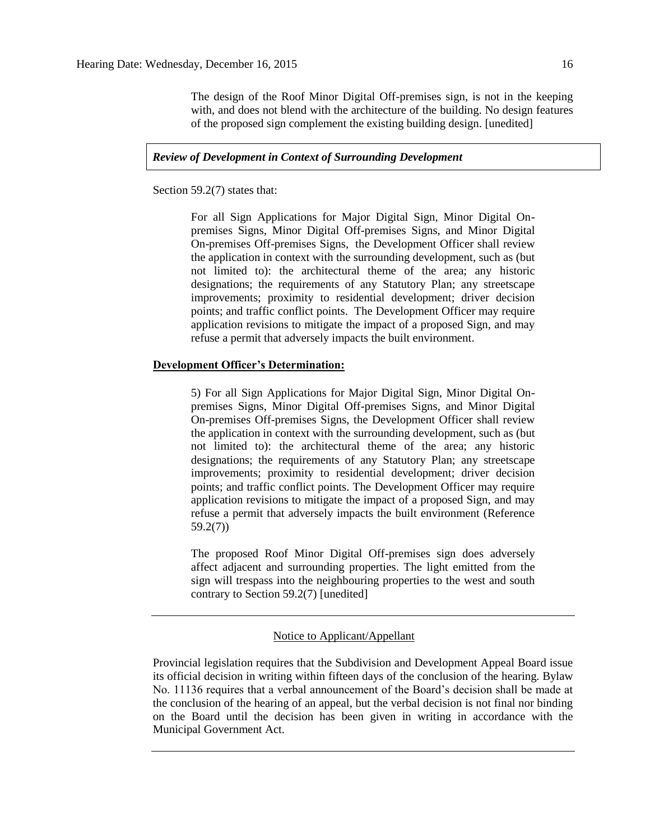The design of the Roof Minor Digital Off-premises sign, is not in the keeping with, and does not blend with the architecture of the building. No design features of the proposed sign complement the existing building design. [unedited]

## *Review of Development in Context of Surrounding Development*

Section 59.2(7) states that:

For all Sign Applications for Major Digital Sign, Minor Digital Onpremises Signs, Minor Digital Off-premises Signs, and Minor Digital On-premises Off-premises Signs, the Development Officer shall review the application in context with the surrounding development, such as (but not limited to): the architectural theme of the area; any historic designations; the requirements of any Statutory Plan; any streetscape improvements; proximity to residential development; driver decision points; and traffic conflict points. The Development Officer may require application revisions to mitigate the impact of a proposed Sign, and may refuse a permit that adversely impacts the built environment.

#### **Development Officer's Determination:**

5) For all Sign Applications for Major Digital Sign, Minor Digital Onpremises Signs, Minor Digital Off-premises Signs, and Minor Digital On-premises Off-premises Signs, the Development Officer shall review the application in context with the surrounding development, such as (but not limited to): the architectural theme of the area; any historic designations; the requirements of any Statutory Plan; any streetscape improvements; proximity to residential development; driver decision points; and traffic conflict points. The Development Officer may require application revisions to mitigate the impact of a proposed Sign, and may refuse a permit that adversely impacts the built environment (Reference 59.2(7))

The proposed Roof Minor Digital Off-premises sign does adversely affect adjacent and surrounding properties. The light emitted from the sign will trespass into the neighbouring properties to the west and south contrary to Section 59.2(7) [unedited]

## Notice to Applicant/Appellant

Provincial legislation requires that the Subdivision and Development Appeal Board issue its official decision in writing within fifteen days of the conclusion of the hearing. Bylaw No. 11136 requires that a verbal announcement of the Board's decision shall be made at the conclusion of the hearing of an appeal, but the verbal decision is not final nor binding on the Board until the decision has been given in writing in accordance with the Municipal Government Act.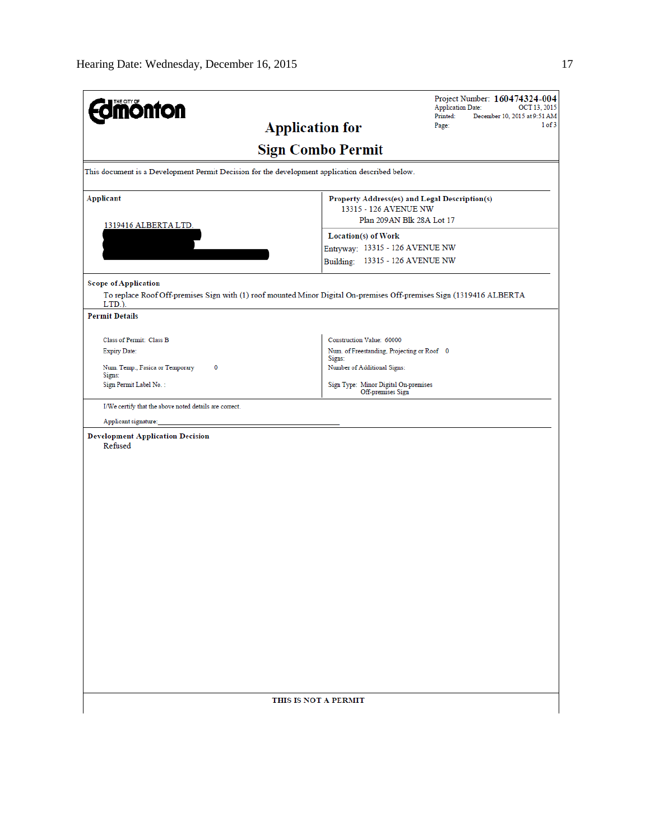| <b>mönton</b>                                                                                   | Project Number: 160474324-004<br><b>Application Date:</b><br>OCT 13, 2015<br>Printed:<br>December 10, 2015 at 9:51 AM |  |  |  |
|-------------------------------------------------------------------------------------------------|-----------------------------------------------------------------------------------------------------------------------|--|--|--|
|                                                                                                 | 1 of 3<br><b>Application for</b><br>Page:                                                                             |  |  |  |
|                                                                                                 | <b>Sign Combo Permit</b>                                                                                              |  |  |  |
| This document is a Development Permit Decision for the development application described below. |                                                                                                                       |  |  |  |
| <b>Applicant</b>                                                                                | Property Address(es) and Legal Description(s)<br>13315 - 126 AVENUE NW                                                |  |  |  |
| 1319416 ALBERTA LTD.                                                                            | Plan 209AN Blk 28A Lot 17                                                                                             |  |  |  |
|                                                                                                 | Location(s) of Work<br>Entryway: 13315 - 126 AVENUE NW                                                                |  |  |  |
|                                                                                                 | Building: 13315 - 126 AVENUE NW                                                                                       |  |  |  |
| <b>Scope of Application</b>                                                                     |                                                                                                                       |  |  |  |
| LTD.).                                                                                          | To replace Roof Off-premises Sign with (1) roof mounted Minor Digital On-premises Off-premises Sign (1319416 ALBERTA  |  |  |  |
| <b>Permit Details</b>                                                                           |                                                                                                                       |  |  |  |
| Class of Permit: Class B                                                                        | Construction Value: 60000                                                                                             |  |  |  |
| <b>Expiry Date:</b>                                                                             | Num. of Freestanding, Projecting or Roof 0<br>Signs:                                                                  |  |  |  |
| 0<br>Num. Temp., Fasica or Temporary<br>Signs:                                                  | Number of Additional Signs:                                                                                           |  |  |  |
| Sign Permit Label No.:                                                                          | Sign Type: Minor Digital On-premises<br>Off-premises Sign                                                             |  |  |  |
| I/We certify that the above noted details are correct.                                          |                                                                                                                       |  |  |  |
| Applicant signature:                                                                            |                                                                                                                       |  |  |  |
| <b>Development Application Decision</b><br>Refused                                              |                                                                                                                       |  |  |  |
|                                                                                                 |                                                                                                                       |  |  |  |
|                                                                                                 |                                                                                                                       |  |  |  |
|                                                                                                 |                                                                                                                       |  |  |  |
|                                                                                                 |                                                                                                                       |  |  |  |
|                                                                                                 |                                                                                                                       |  |  |  |
|                                                                                                 |                                                                                                                       |  |  |  |
|                                                                                                 |                                                                                                                       |  |  |  |
|                                                                                                 |                                                                                                                       |  |  |  |
|                                                                                                 |                                                                                                                       |  |  |  |
|                                                                                                 |                                                                                                                       |  |  |  |
|                                                                                                 |                                                                                                                       |  |  |  |
|                                                                                                 |                                                                                                                       |  |  |  |
|                                                                                                 |                                                                                                                       |  |  |  |
|                                                                                                 |                                                                                                                       |  |  |  |
|                                                                                                 |                                                                                                                       |  |  |  |
|                                                                                                 | THIS IS NOT A PERMIT                                                                                                  |  |  |  |
|                                                                                                 |                                                                                                                       |  |  |  |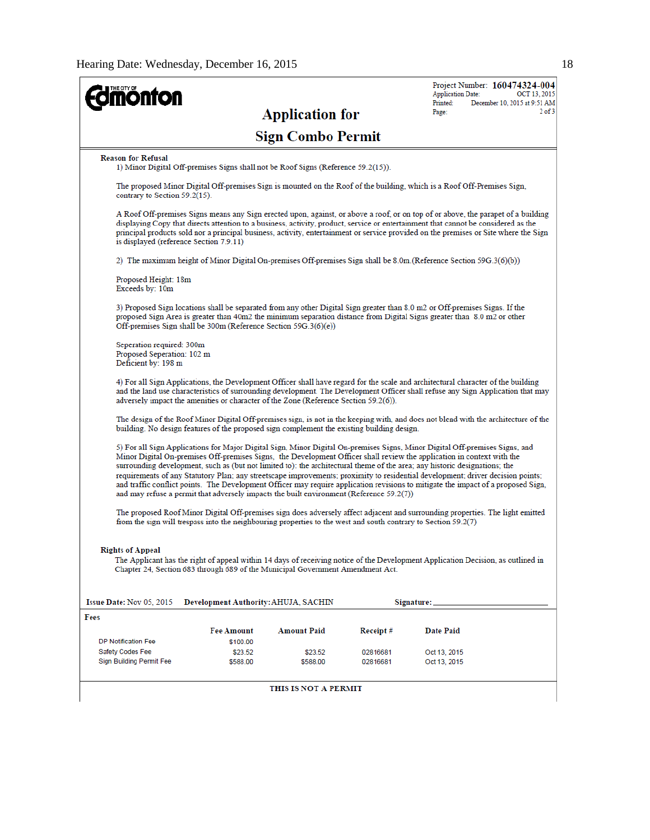| <b>onton</b>                                                                   |                                                                                                                |                          |                      | Project Number: 160474324-004<br><b>Application Date:</b><br>OCT 13, 2015<br>Printed:                                                                                                                                                                                                                                                                                                                                                                                                                                                                                                                                                                                                                                                                                                         |
|--------------------------------------------------------------------------------|----------------------------------------------------------------------------------------------------------------|--------------------------|----------------------|-----------------------------------------------------------------------------------------------------------------------------------------------------------------------------------------------------------------------------------------------------------------------------------------------------------------------------------------------------------------------------------------------------------------------------------------------------------------------------------------------------------------------------------------------------------------------------------------------------------------------------------------------------------------------------------------------------------------------------------------------------------------------------------------------|
|                                                                                |                                                                                                                | <b>Application for</b>   |                      | December 10, 2015 at 9:51 AM<br>$2$ of $3$<br>Page:                                                                                                                                                                                                                                                                                                                                                                                                                                                                                                                                                                                                                                                                                                                                           |
|                                                                                |                                                                                                                | <b>Sign Combo Permit</b> |                      |                                                                                                                                                                                                                                                                                                                                                                                                                                                                                                                                                                                                                                                                                                                                                                                               |
| <b>Reason for Refusal</b>                                                      | 1) Minor Digital Off-premises Signs shall not be Roof Signs (Reference 59.2(15)).                              |                          |                      |                                                                                                                                                                                                                                                                                                                                                                                                                                                                                                                                                                                                                                                                                                                                                                                               |
| contrary to Section 59.2(15).                                                  |                                                                                                                |                          |                      | The proposed Minor Digital Off-premises Sign is mounted on the Roof of the building, which is a Roof Off-Premises Sign,                                                                                                                                                                                                                                                                                                                                                                                                                                                                                                                                                                                                                                                                       |
| is displayed (reference Section 7.9.11)                                        |                                                                                                                |                          |                      | A Roof Off-premises Signs means any Sign erected upon, against, or above a roof, or on top of or above, the parapet of a building<br>displaying Copy that directs attention to a business, activity, product, service or entertainment that cannot be considered as the<br>principal products sold nor a principal business, activity, entertainment or service provided on the premises or Site where the Sign                                                                                                                                                                                                                                                                                                                                                                               |
|                                                                                |                                                                                                                |                          |                      | 2) The maximum height of Minor Digital On-premises Off-premises Sign shall be 8.0m. (Reference Section 59G.3(6)(b))                                                                                                                                                                                                                                                                                                                                                                                                                                                                                                                                                                                                                                                                           |
| Proposed Height: 18m<br>Exceeds by: 10m                                        |                                                                                                                |                          |                      |                                                                                                                                                                                                                                                                                                                                                                                                                                                                                                                                                                                                                                                                                                                                                                                               |
|                                                                                | Off-premises Sign shall be 300m (Reference Section 59G.3(6)(e))                                                |                          |                      | 3) Proposed Sign locations shall be separated from any other Digital Sign greater than 8.0 m2 or Off-premises Signs. If the<br>proposed Sign Area is greater than 40m2 the minimum separation distance from Digital Signs greater than 8.0 m2 or other                                                                                                                                                                                                                                                                                                                                                                                                                                                                                                                                        |
| Seperation required: 300m<br>Proposed Seperation: 102 m<br>Deficient by: 198 m |                                                                                                                |                          |                      |                                                                                                                                                                                                                                                                                                                                                                                                                                                                                                                                                                                                                                                                                                                                                                                               |
|                                                                                | adversely impact the amenities or character of the Zone (Reference Section 59.2(6)).                           |                          |                      | 4) For all Sign Applications, the Development Officer shall have regard for the scale and architectural character of the building<br>and the land use characteristics of surrounding development. The Development Officer shall refuse any Sign Application that may                                                                                                                                                                                                                                                                                                                                                                                                                                                                                                                          |
|                                                                                | building. No design features of the proposed sign complement the existing building design.                     |                          |                      | The design of the Roof Minor Digital Off-premises sign, is not in the keeping with, and does not blend with the architecture of the                                                                                                                                                                                                                                                                                                                                                                                                                                                                                                                                                                                                                                                           |
|                                                                                | and may refuse a permit that adversely impacts the built environment (Reference $59.2(7)$ )                    |                          |                      | 5) For all Sign Applications for Major Digital Sign, Minor Digital On-premises Signs, Minor Digital Off-premises Signs, and<br>Minor Digital On-premises Off-premises Signs, the Development Officer shall review the application in context with the<br>surrounding development, such as (but not limited to): the architectural theme of the area; any historic designations; the<br>requirements of any Statutory Plan; any streetscape improvements; proximity to residential development; driver decision points;<br>and traffic conflict points. The Development Officer may require application revisions to mitigate the impact of a proposed Sign,<br>The proposed Roof Minor Digital Off-premises sign does adversely affect adjacent and surrounding properties. The light emitted |
|                                                                                | from the sign will trespass into the neighbouring properties to the west and south contrary to Section 59.2(7) |                          |                      |                                                                                                                                                                                                                                                                                                                                                                                                                                                                                                                                                                                                                                                                                                                                                                                               |
| <b>Rights of Appeal</b>                                                        | Chapter 24, Section 683 through 689 of the Municipal Government Amendment Act.                                 |                          |                      | The Applicant has the right of appeal within 14 days of receiving notice of the Development Application Decision, as outlined in                                                                                                                                                                                                                                                                                                                                                                                                                                                                                                                                                                                                                                                              |
| Issue Date: Nov 05, 2015                                                       | Development Authority: AHUJA, SACHIN                                                                           |                          |                      | Signature:                                                                                                                                                                                                                                                                                                                                                                                                                                                                                                                                                                                                                                                                                                                                                                                    |
| Fees                                                                           |                                                                                                                |                          |                      |                                                                                                                                                                                                                                                                                                                                                                                                                                                                                                                                                                                                                                                                                                                                                                                               |
|                                                                                | Fee Amount                                                                                                     | <b>Amount Paid</b>       | Receipt#             | <b>Date Paid</b>                                                                                                                                                                                                                                                                                                                                                                                                                                                                                                                                                                                                                                                                                                                                                                              |
| <b>DP Notification Fee</b>                                                     | \$100.00                                                                                                       |                          |                      |                                                                                                                                                                                                                                                                                                                                                                                                                                                                                                                                                                                                                                                                                                                                                                                               |
| Safety Codes Fee<br><b>Sign Building Permit Fee</b>                            | \$23.52<br>\$588.00                                                                                            | \$23.52<br>\$588.00      | 02816681<br>02816681 | Oct 13, 2015<br>Oct 13, 2015                                                                                                                                                                                                                                                                                                                                                                                                                                                                                                                                                                                                                                                                                                                                                                  |
|                                                                                |                                                                                                                | THIS IS NOT A PERMIT     |                      |                                                                                                                                                                                                                                                                                                                                                                                                                                                                                                                                                                                                                                                                                                                                                                                               |
|                                                                                |                                                                                                                |                          |                      |                                                                                                                                                                                                                                                                                                                                                                                                                                                                                                                                                                                                                                                                                                                                                                                               |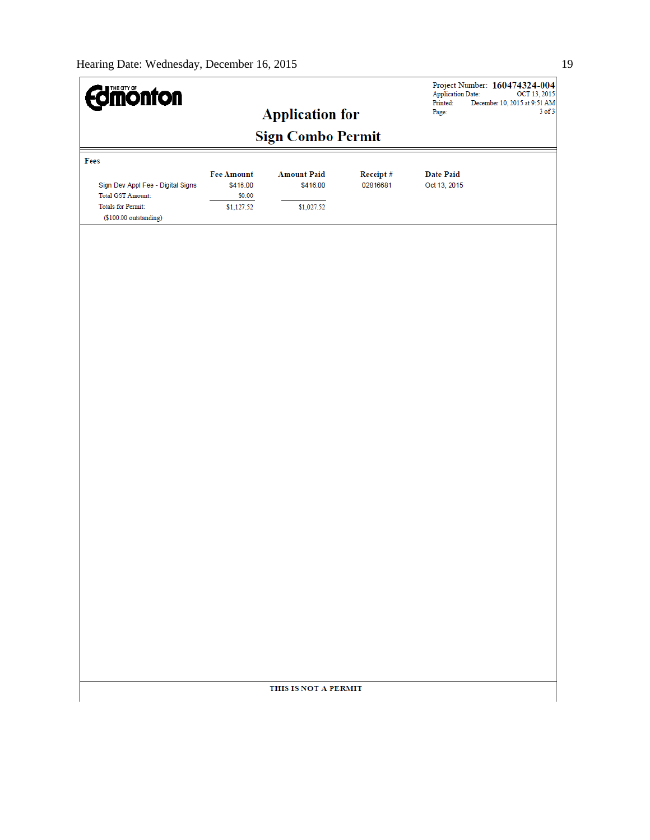| <b><i><u>almonton</u></i></b>                                                                                        |                                                | <b>Application for</b>                       |                      | <b>Application Date:</b><br>Printed:<br>Page: | Project Number: 160474324-004<br>OCT 13, 2015<br>December 10, 2015 at 9:51 AM<br>$3$ of $3$ |
|----------------------------------------------------------------------------------------------------------------------|------------------------------------------------|----------------------------------------------|----------------------|-----------------------------------------------|---------------------------------------------------------------------------------------------|
|                                                                                                                      |                                                | <b>Sign Combo Permit</b>                     |                      |                                               |                                                                                             |
| Fees                                                                                                                 |                                                |                                              |                      |                                               |                                                                                             |
| Sign Dev Appl Fee - Digital Signs<br><b>Total GST Amount:</b><br><b>Totals for Permit:</b><br>(\$100.00 outstanding) | Fee Amount<br>\$416.00<br>\$0.00<br>\$1,127.52 | <b>Amount Paid</b><br>\$416.00<br>\$1,027.52 | Receipt#<br>02816681 | <b>Date Paid</b><br>Oct 13, 2015              |                                                                                             |
|                                                                                                                      |                                                |                                              |                      |                                               |                                                                                             |
|                                                                                                                      |                                                |                                              |                      |                                               |                                                                                             |
|                                                                                                                      |                                                |                                              |                      |                                               |                                                                                             |
|                                                                                                                      |                                                |                                              |                      |                                               |                                                                                             |
|                                                                                                                      |                                                |                                              |                      |                                               |                                                                                             |
|                                                                                                                      |                                                |                                              |                      |                                               |                                                                                             |
|                                                                                                                      |                                                |                                              |                      |                                               |                                                                                             |
|                                                                                                                      |                                                |                                              |                      |                                               |                                                                                             |
|                                                                                                                      |                                                |                                              |                      |                                               |                                                                                             |
|                                                                                                                      |                                                |                                              |                      |                                               |                                                                                             |
|                                                                                                                      |                                                |                                              |                      |                                               |                                                                                             |
|                                                                                                                      |                                                |                                              |                      |                                               |                                                                                             |
|                                                                                                                      |                                                |                                              |                      |                                               |                                                                                             |
|                                                                                                                      |                                                |                                              |                      |                                               |                                                                                             |
|                                                                                                                      |                                                |                                              |                      |                                               |                                                                                             |
|                                                                                                                      |                                                |                                              |                      |                                               |                                                                                             |
|                                                                                                                      |                                                | THIS IS NOT A PERMIT                         |                      |                                               |                                                                                             |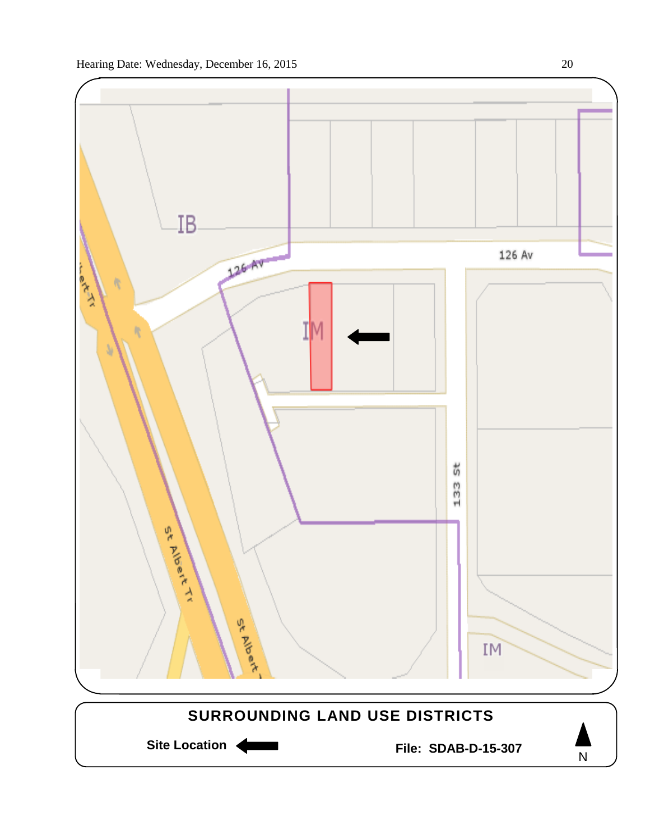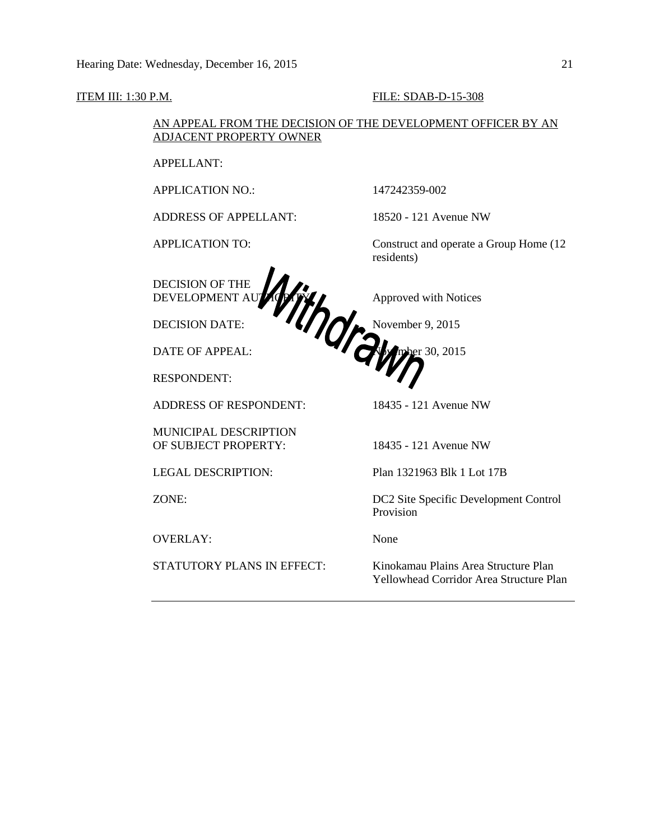ITEM III: 1:30 P.M. FILE: SDAB-D-15-308 AN APPEAL FROM THE DECISION OF THE DEVELOPMENT OFFICER BY AN ADJACENT PROPERTY OWNER APPELLANT: APPLICATION NO.: 147242359-002 ADDRESS OF APPELLANT: 18520 - 121 Avenue NW APPLICATION TO: Construct and operate a Group Home (12 residents) DECISION OF THE DEVELOPMENT AUTHORITY **AUTHORITY** Approved with Notices DECISION DATE:  $\bullet \bullet$  Movember 9, 2015 DATE OF APPEAL: November 30, 2015 RESPONDENT: ADDRESS OF RESPONDENT: 18435 - 121 Avenue NW MUNICIPAL DESCRIPTION OF SUBJECT PROPERTY: 18435 - 121 Avenue NW LEGAL DESCRIPTION: Plan 1321963 Blk 1 Lot 17B ZONE: DC2 Site Specific Development Control Provision OVERLAY: None STATUTORY PLANS IN EFFECT: Kinokamau Plains Area Structure Plan Yellowhead Corridor Area Structure Plan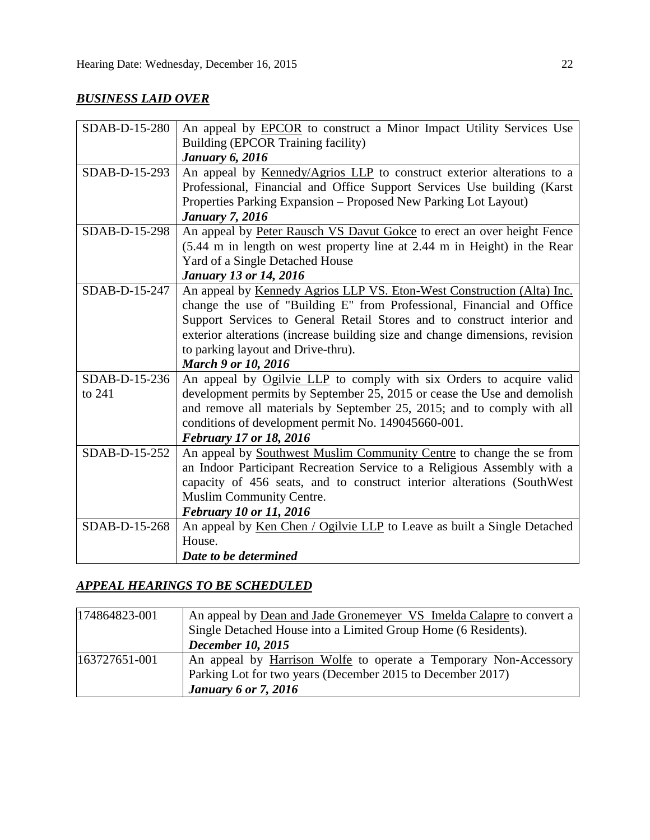## *BUSINESS LAID OVER*

| SDAB-D-15-280 | An appeal by <b>EPCOR</b> to construct a Minor Impact Utility Services Use   |  |  |
|---------------|------------------------------------------------------------------------------|--|--|
|               | Building (EPCOR Training facility)                                           |  |  |
|               | <b>January 6, 2016</b>                                                       |  |  |
| SDAB-D-15-293 | An appeal by Kennedy/Agrios LLP to construct exterior alterations to a       |  |  |
|               | Professional, Financial and Office Support Services Use building (Karst      |  |  |
|               | Properties Parking Expansion – Proposed New Parking Lot Layout)              |  |  |
|               | <b>January 7, 2016</b>                                                       |  |  |
| SDAB-D-15-298 | An appeal by Peter Rausch VS Davut Gokce to erect an over height Fence       |  |  |
|               | (5.44 m in length on west property line at 2.44 m in Height) in the Rear     |  |  |
|               | Yard of a Single Detached House                                              |  |  |
|               | <b>January 13 or 14, 2016</b>                                                |  |  |
| SDAB-D-15-247 | An appeal by Kennedy Agrios LLP VS. Eton-West Construction (Alta) Inc.       |  |  |
|               | change the use of "Building E" from Professional, Financial and Office       |  |  |
|               | Support Services to General Retail Stores and to construct interior and      |  |  |
|               | exterior alterations (increase building size and change dimensions, revision |  |  |
|               | to parking layout and Drive-thru).                                           |  |  |
|               | <b>March 9 or 10, 2016</b>                                                   |  |  |
| SDAB-D-15-236 | An appeal by Ogilvie LLP to comply with six Orders to acquire valid          |  |  |
| to 241        | development permits by September 25, 2015 or cease the Use and demolish      |  |  |
|               | and remove all materials by September 25, 2015; and to comply with all       |  |  |
|               | conditions of development permit No. 149045660-001.                          |  |  |
|               | <b>February 17 or 18, 2016</b>                                               |  |  |
| SDAB-D-15-252 | An appeal by Southwest Muslim Community Centre to change the se from         |  |  |
|               | an Indoor Participant Recreation Service to a Religious Assembly with a      |  |  |
|               | capacity of 456 seats, and to construct interior alterations (SouthWest      |  |  |
|               | Muslim Community Centre.                                                     |  |  |
|               | <b>February 10 or 11, 2016</b>                                               |  |  |
| SDAB-D-15-268 | An appeal by Ken Chen / Ogilvie LLP to Leave as built a Single Detached      |  |  |
|               | House.                                                                       |  |  |
|               | Date to be determined                                                        |  |  |

## *APPEAL HEARINGS TO BE SCHEDULED*

| 174864823-001 | An appeal by Dean and Jade Gronemeyer VS Imelda Calapre to convert a |
|---------------|----------------------------------------------------------------------|
|               | Single Detached House into a Limited Group Home (6 Residents).       |
|               | <b>December 10, 2015</b>                                             |
| 163727651-001 | An appeal by Harrison Wolfe to operate a Temporary Non-Accessory     |
|               | Parking Lot for two years (December 2015 to December 2017)           |
|               | <b>January 6 or 7, 2016</b>                                          |